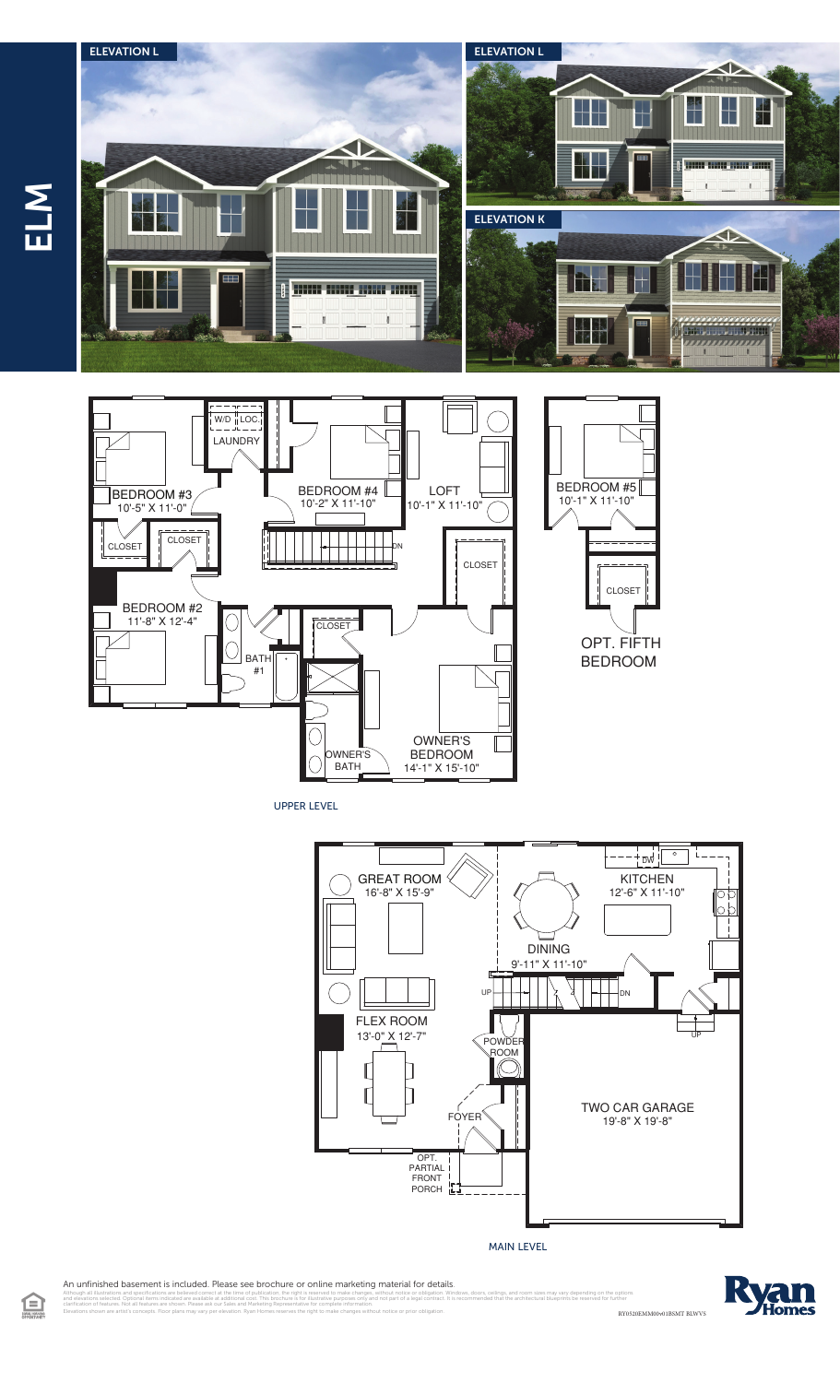



UPPER LEVEL



MAIN LEVEL

An unfinished basement is included. Please see brochure or online marketing material for details.

Elevations shown are artist's concepts. Floor plans may vary per elevation. Ryan Homes reserves the right to make changes without notice or prior obligation.

illustrations and specifications are believed correct at the time of publication, the right is reserved to make changes, without notice or obligation. Windows, doors, ceilings, and room sizes may vary depending on the opti clarification of features. Not all features are shown. Please ask our Sales and Marketing Representative for complete information.



RY0520EMM00v01BSMT BLWVS

CLOSET

OPT. FIFTH **BEDROOM** 

ELM